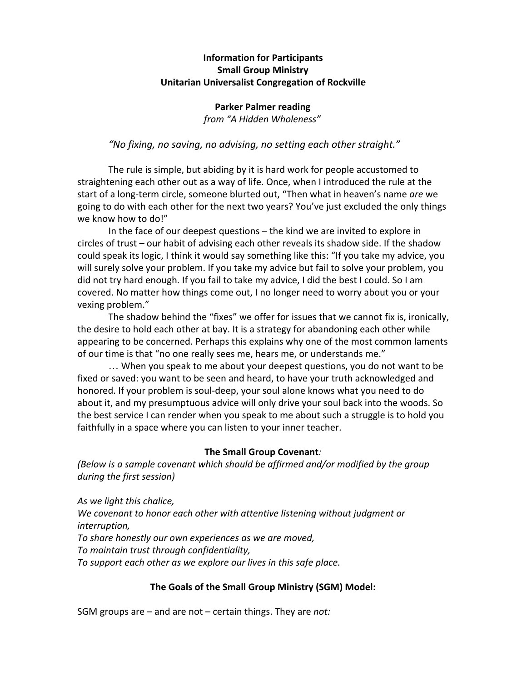# **Information for Participants Small Group Ministry Unitarian Universalist Congregation of Rockville**

### **Parker Palmer reading** *from "A Hidden Wholeness"*

# *"No fixing, no saving, no advising, no setting each other straight."*

The rule is simple, but abiding by it is hard work for people accustomed to straightening each other out as a way of life. Once, when I introduced the rule at the start of a long-term circle, someone blurted out, "Then what in heaven's name *are* we going to do with each other for the next two years? You've just excluded the only things we know how to do!"

In the face of our deepest questions – the kind we are invited to explore in circles of trust – our habit of advising each other reveals its shadow side. If the shadow could speak its logic, I think it would say something like this: "If you take my advice, you will surely solve your problem. If you take my advice but fail to solve your problem, you did not try hard enough. If you fail to take my advice, I did the best I could. So I am covered. No matter how things come out, I no longer need to worry about you or your vexing problem."

The shadow behind the "fixes" we offer for issues that we cannot fix is, ironically, the desire to hold each other at bay. It is a strategy for abandoning each other while appearing to be concerned. Perhaps this explains why one of the most common laments of our time is that "no one really sees me, hears me, or understands me."

… When you speak to me about your deepest questions, you do not want to be fixed or saved: you want to be seen and heard, to have your truth acknowledged and honored. If your problem is soul-deep, your soul alone knows what you need to do about it, and my presumptuous advice will only drive your soul back into the woods. So the best service I can render when you speak to me about such a struggle is to hold you faithfully in a space where you can listen to your inner teacher.

## **The Small Group Covenant***:*

*(Below is a sample covenant which should be affirmed and/or modified by the group during the first session)*

*As we light this chalice, We covenant to honor each other with attentive listening without judgment or interruption, To share honestly our own experiences as we are moved,*

*To maintain trust through confidentiality,*

*To support each other as we explore our lives in this safe place.*

# **The Goals of the Small Group Ministry (SGM) Model:**

SGM groups are – and are not – certain things. They are *not:*